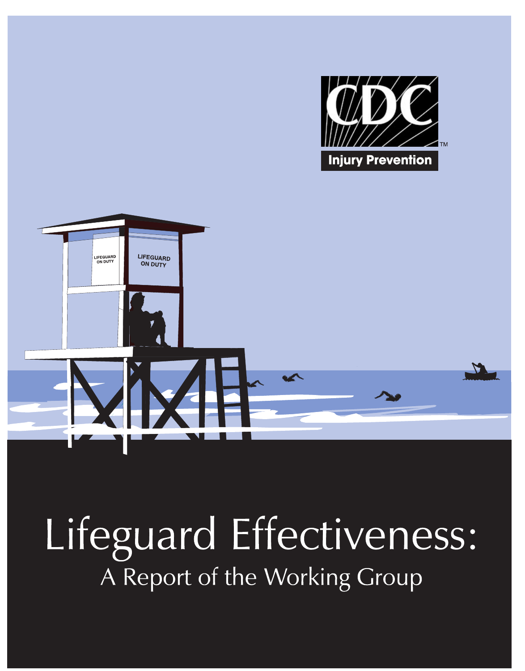



# Lifeguard Effectiveness: A Report of the Working Group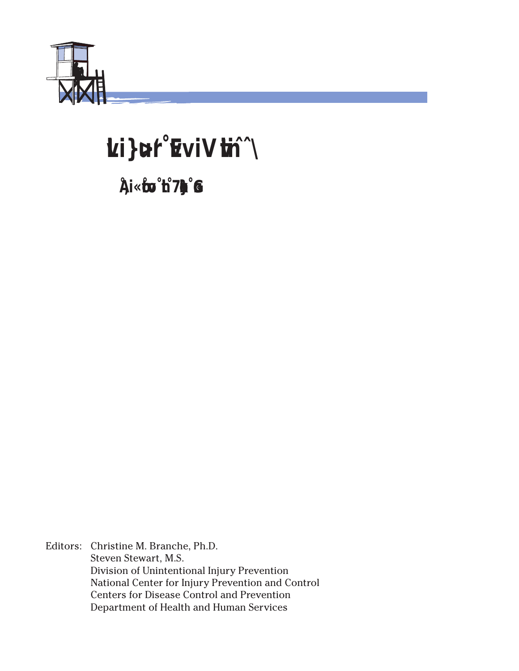

## Lifeguard Effectiveness

A Report of the Working Group

Editors: Christine M. Branche, Ph.D. Steven Stewart, M.S. Division of Unintentional Injury Prevention National Center for Injury Prevention and Control Centers for Disease Control and Prevention Department of Health and Human Services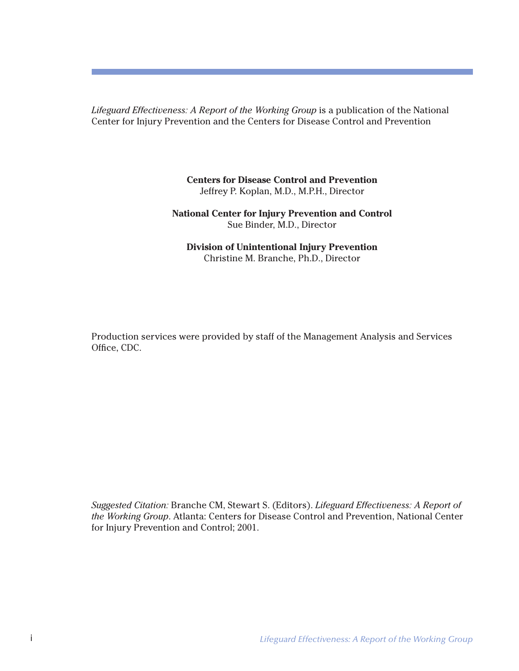*Lifeguard Effectiveness: A Report of the Working Group* is a publication of the National Center for Injury Prevention and the Centers for Disease Control and Prevention

> **Centers for Disease Control and Prevention** Jeffrey P. Koplan, M.D., M.P.H., Director

**National Center for Injury Prevention and Control** Sue Binder, M.D., Director

**Division of Unintentional Injury Prevention** Christine M. Branche, Ph.D., Director

Production services were provided by staff of the Management Analysis and Services Office, CDC.

*Suggested Citation:* Branche CM, Stewart S. (Editors). *Lifeguard Effectiveness: A Report of the Working Group*. Atlanta: Centers for Disease Control and Prevention, National Center for Injury Prevention and Control; 2001.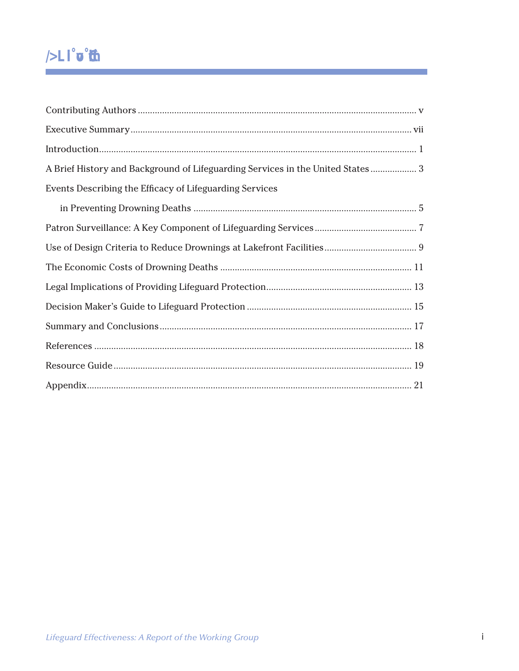## **Table of Contents**

| A Brief History and Background of Lifeguarding Services in the United States 3 |  |
|--------------------------------------------------------------------------------|--|
| Events Describing the Efficacy of Lifeguarding Services                        |  |
|                                                                                |  |
|                                                                                |  |
|                                                                                |  |
|                                                                                |  |
|                                                                                |  |
|                                                                                |  |
|                                                                                |  |
|                                                                                |  |
|                                                                                |  |
|                                                                                |  |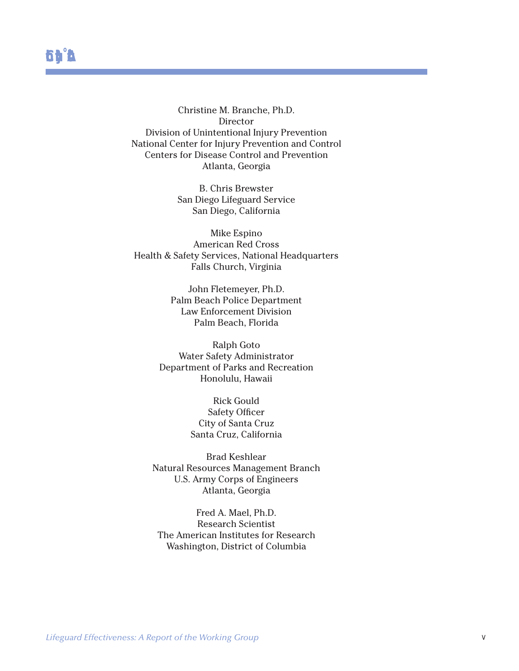Christine M. Branche, Ph.D. Director Division of Unintentional Injury Prevention National Center for Injury Prevention and Control Centers for Disease Control and Prevention Atlanta, Georgia

> B. Chris Brewster San Diego Lifeguard Service San Diego, California

Mike Espino American Red Cross Health & Safety Services, National Headquarters Falls Church, Virginia

> John Fletemeyer, Ph.D. Palm Beach Police Department Law Enforcement Division Palm Beach, Florida

Ralph Goto Water Safety Administrator Department of Parks and Recreation Honolulu, Hawaii

> Rick Gould Safety Officer City of Santa Cruz Santa Cruz, California

Brad Keshlear Natural Resources Management Branch U.S. Army Corps of Engineers Atlanta, Georgia

Fred A. Mael, Ph.D. Research Scientist The American Institutes for Research Washington, District of Columbia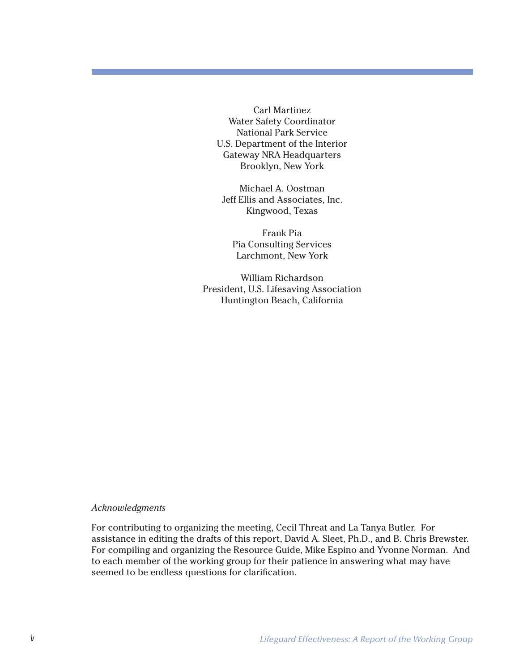Carl Martinez Water Safety Coordinator National Park Service U.S. Department of the Interior Gateway NRA Headquarters Brooklyn, New York

Michael A. Oostman Jeff Ellis and Associates, Inc. Kingwood, Texas

Frank Pia Pia Consulting Services Larchmont, New York

William Richardson President, U.S. Lifesaving Association Huntington Beach, California

#### *Acknowledgments*

For contributing to organizing the meeting, Cecil Threat and La Tanya Butler. For assistance in editing the drafts of this report, David A. Sleet, Ph.D., and B. Chris Brewster. For compiling and organizing the Resource Guide, Mike Espino and Yvonne Norman. And to each member of the working group for their patience in answering what may have seemed to be endless questions for clarification.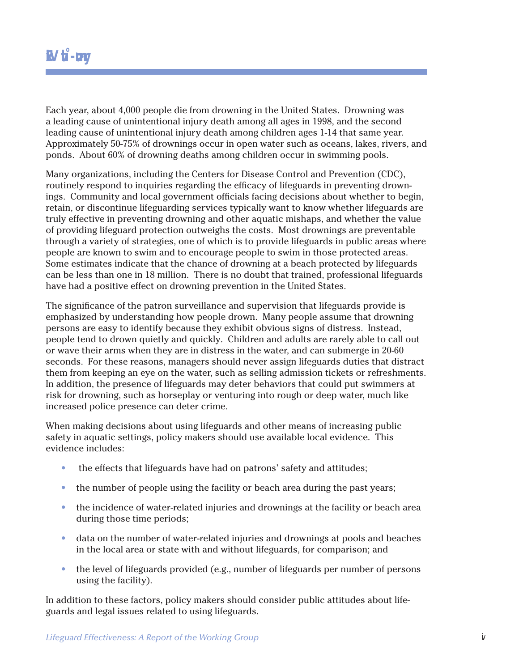Each year, about 4,000 people die from drowning in the United States. Drowning was a leading cause of unintentional injury death among all ages in 1998, and the second leading cause of unintentional injury death among children ages 1-14 that same year. Approximately 50-75% of drownings occur in open water such as oceans, lakes, rivers, and ponds. About 60% of drowning deaths among children occur in swimming pools.

Many organizations, including the Centers for Disease Control and Prevention (CDC), routinely respond to inquiries regarding the efficacy of lifeguards in preventing drownings. Community and local government officials facing decisions about whether to begin, retain, or discontinue lifeguarding services typically want to know whether lifeguards are truly effective in preventing drowning and other aquatic mishaps, and whether the value of providing lifeguard protection outweighs the costs. Most drownings are preventable through a variety of strategies, one of which is to provide lifeguards in public areas where people are known to swim and to encourage people to swim in those protected areas. Some estimates indicate that the chance of drowning at a beach protected by lifeguards can be less than one in 18 million. There is no doubt that trained, professional lifeguards have had a positive effect on drowning prevention in the United States.

The significance of the patron surveillance and supervision that lifeguards provide is emphasized by understanding how people drown. Many people assume that drowning persons are easy to identify because they exhibit obvious signs of distress. Instead, people tend to drown quietly and quickly. Children and adults are rarely able to call out or wave their arms when they are in distress in the water, and can submerge in 20-60 seconds. For these reasons, managers should never assign lifeguards duties that distract them from keeping an eye on the water, such as selling admission tickets or refreshments. In addition, the presence of lifeguards may deter behaviors that could put swimmers at risk for drowning, such as horseplay or venturing into rough or deep water, much like increased police presence can deter crime.

When making decisions about using lifeguards and other means of increasing public safety in aquatic settings, policy makers should use available local evidence. This evidence includes:

- the effects that lifeguards have had on patrons' safety and attitudes;
- the number of people using the facility or beach area during the past years;
- the incidence of water-related injuries and drownings at the facility or beach area during those time periods;
- data on the number of water-related injuries and drownings at pools and beaches in the local area or state with and without lifeguards, for comparison; and
- the level of lifeguards provided (e.g., number of lifeguards per number of persons using the facility).

Using the facility).<br> **Lifeguards and legal issues related to using lifeguards.**<br> *Lifeguard Effectiveness: A Report of the Working Group* vii In addition to these factors, policy makers should consider public attitudes about lifeguards and legal issues related to using lifeguards.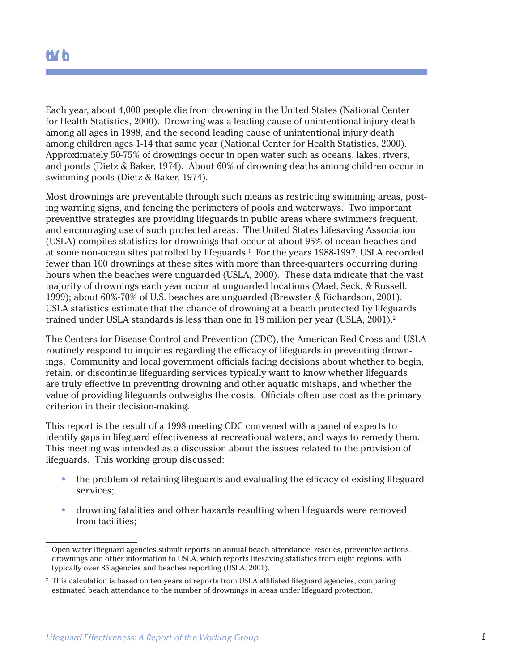## **Introduction**

Each year, about 4,000 people die from drowning in the United States (National Center for Health Statistics, 2000). Drowning was a leading cause of unintentional injury death among all ages in 1998, and the second leading cause of unintentional injury death among children ages 1-14 that same year (National Center for Health Statistics, 2000). Approximately 50-75% of drownings occur in open water such as oceans, lakes, rivers, and ponds (Dietz & Baker, 1974). About 60% of drowning deaths among children occur in swimming pools (Dietz & Baker, 1974).

Most drownings are preventable through such means as restricting swimming areas, posting warning signs, and fencing the perimeters of pools and waterways. Two important preventive strategies are providing lifeguards in public areas where swimmers frequent, and encouraging use of such protected areas. The United States Lifesaving Association (USLA) compiles statistics for drownings that occur at about 95% of ocean beaches and at some non-ocean sites patrolled by lifeguards.<sup>1</sup> For the years 1988-1997, USLA recorded fewer than 100 drownings at these sites with more than three-quarters occurring during hours when the beaches were unguarded (USLA, 2000). These data indicate that the vast majority of drownings each year occur at unguarded locations (Mael, Seck, & Russell, 1999); about 60%-70% of U.S. beaches are unguarded (Brewster & Richardson, 2001). USLA statistics estimate that the chance of drowning at a beach protected by lifeguards trained under USLA standards is less than one in 18 million per year (USLA,  $2001$ ).<sup>2</sup>

The Centers for Disease Control and Prevention (CDC), the American Red Cross and USLA routinely respond to inquiries regarding the efficacy of lifeguards in preventing drownings. Community and local government officials facing decisions about whether to begin, retain, or discontinue lifeguarding services typically want to know whether lifeguards are truly effective in preventing drowning and other aquatic mishaps, and whether the value of providing lifeguards outweighs the costs. Officials often use cost as the primary criterion in their decision-making.

This report is the result of a 1998 meeting CDC convened with a panel of experts to identify gaps in lifeguard effectiveness at recreational waters, and ways to remedy them. This meeting was intended as a discussion about the issues related to the provision of lifeguards. This working group discussed:

- the problem of retaining lifeguards and evaluating the efficacy of existing lifeguard services;
- drowning fatalities and other hazards resulting when lifeguards were removed from facilities;

<sup>1</sup> Open water lifeguard agencies submit reports on annual beach attendance, rescues, preventive actions, drownings and other information to USLA, which reports lifesaving statistics from eight regions, with typically over 85 agencies and beaches reporting (USLA, 2001).

*Lifeguard Effectiveness: A Report of the Working Group* <sup>1</sup> <sup>2</sup> This calculation is based on ten years of reports from USLA affiliated lifeguard agencies, comparing estimated beach attendance to the number of drownings in areas under lifeguard protection.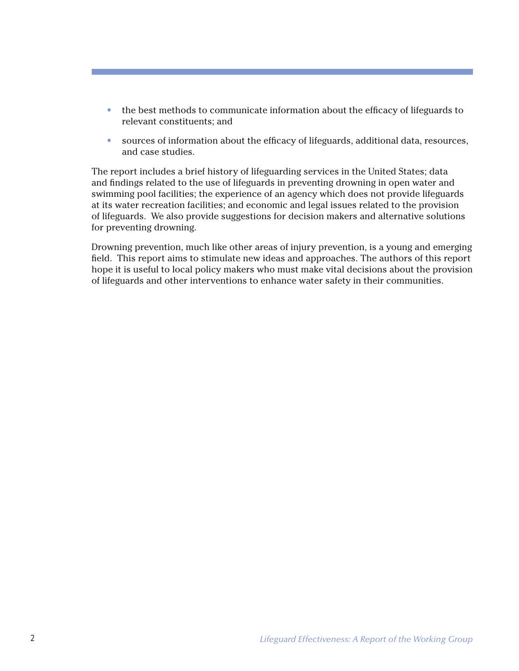- the best methods to communicate information about the efficacy of lifeguards to relevant constituents; and
- sources of information about the efficacy of lifeguards, additional data, resources, and case studies.

The report includes a brief history of lifeguarding services in the United States; data and findings related to the use of lifeguards in preventing drowning in open water and swimming pool facilities; the experience of an agency which does not provide lifeguards at its water recreation facilities; and economic and legal issues related to the provision of lifeguards. We also provide suggestions for decision makers and alternative solutions for preventing drowning.

Drowning prevention, much like other areas of injury prevention, is a young and emerging field. This report aims to stimulate new ideas and approaches. The authors of this report hope it is useful to local policy makers who must make vital decisions about the provision of lifeguards and other interventions to enhance water safety in their communities.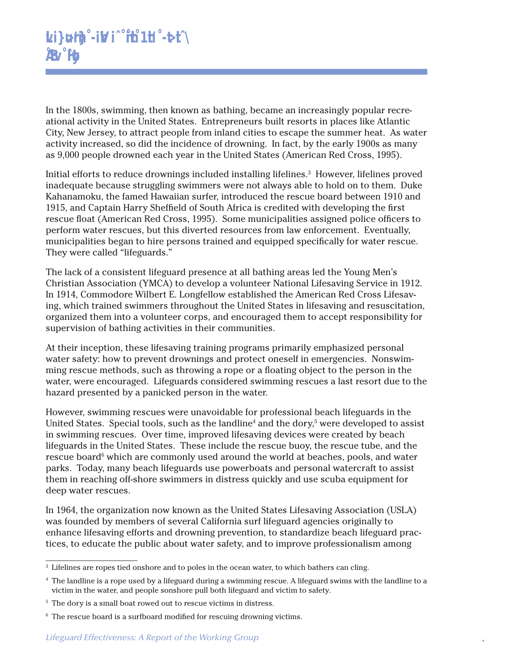In the 1800s, swimming, then known as bathing, became an increasingly popular recreational activity in the United States. Entrepreneurs built resorts in places like Atlantic City, New Jersey, to attract people from inland cities to escape the summer heat. As water activity increased, so did the incidence of drowning. In fact, by the early 1900s as many as 9,000 people drowned each year in the United States (American Red Cross, 1995).

Initial efforts to reduce drownings included installing lifelines.<sup>3</sup> However, lifelines proved inadequate because struggling swimmers were not always able to hold on to them. Duke Kahanamoku, the famed Hawaiian surfer, introduced the rescue board between 1910 and 1915, and Captain Harry Sheffield of South Africa is credited with developing the first rescue float (American Red Cross, 1995). Some municipalities assigned police officers to perform water rescues, but this diverted resources from law enforcement. Eventually, municipalities began to hire persons trained and equipped specifically for water rescue. They were called "lifeguards."

The lack of a consistent lifeguard presence at all bathing areas led the Young Men's Christian Association (YMCA) to develop a volunteer National Lifesaving Service in 1912. In 1914, Commodore Wilbert E. Longfellow established the American Red Cross Lifesaving, which trained swimmers throughout the United States in lifesaving and resuscitation, organized them into a volunteer corps, and encouraged them to accept responsibility for supervision of bathing activities in their communities.

At their inception, these lifesaving training programs primarily emphasized personal water safety: how to prevent drownings and protect oneself in emergencies. Nonswimming rescue methods, such as throwing a rope or a floating object to the person in the water, were encouraged. Lifeguards considered swimming rescues a last resort due to the hazard presented by a panicked person in the water.

However, swimming rescues were unavoidable for professional beach lifeguards in the United States. Special tools, such as the landline<sup>4</sup> and the dory,<sup>5</sup> were developed to assist in swimming rescues. Over time, improved lifesaving devices were created by beach lifeguards in the United States. These include the rescue buoy, the rescue tube, and the rescue board<sup>6</sup> which are commonly used around the world at beaches, pools, and water parks. Today, many beach lifeguards use powerboats and personal watercraft to assist them in reaching off-shore swimmers in distress quickly and use scuba equipment for deep water rescues.

In 1964, the organization now known as the United States Lifesaving Association (USLA) was founded by members of several California surf lifeguard agencies originally to enhance lifesaving efforts and drowning prevention, to standardize beach lifeguard practices, to educate the public about water safety, and to improve professionalism among

<sup>&</sup>lt;sup>3</sup> Lifelines are ropes tied onshore and to poles in the ocean water, to which bathers can cling.

<sup>%</sup> The landline is a rope used by a lifeguard during a swimming rescue. A lifeguard swims with the landline to a<br>victim in the water, and people sonshore pull both lifeguard and victim to safety.<br><sup>5</sup> The dory is a small boa <sup>4</sup> The landline is a rope used by a lifeguard during a swimming rescue. A lifeguard swims with the landline to a victim in the water, and people sonshore pull both lifeguard and victim to safety.

<sup>5</sup> The dory is a small boat rowed out to rescue victims in distress.

<sup>&</sup>lt;sup>6</sup> The rescue board is a surfboard modified for rescuing drowning victims.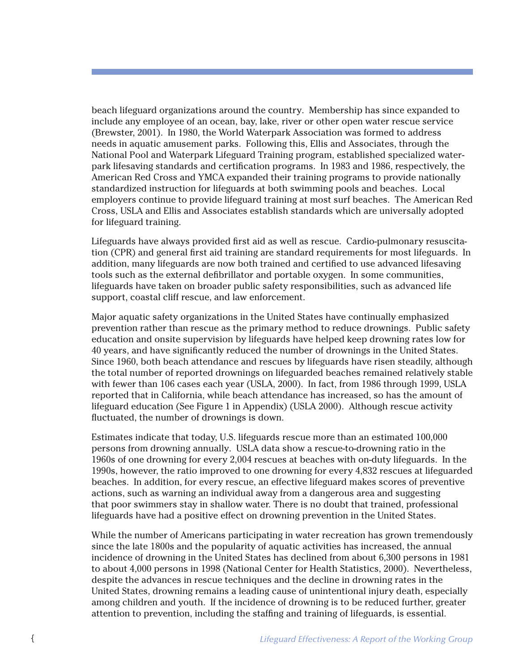beach lifeguard organizations around the country. Membership has since expanded to include any employee of an ocean, bay, lake, river or other open water rescue service (Brewster, 2001). In 1980, the World Waterpark Association was formed to address needs in aquatic amusement parks. Following this, Ellis and Associates, through the National Pool and Waterpark Lifeguard Training program, established specialized waterpark lifesaving standards and certification programs. In 1983 and 1986, respectively, the American Red Cross and YMCA expanded their training programs to provide nationally standardized instruction for lifeguards at both swimming pools and beaches. Local employers continue to provide lifeguard training at most surf beaches. The American Red Cross, USLA and Ellis and Associates establish standards which are universally adopted for lifeguard training.

Lifeguards have always provided first aid as well as rescue. Cardio-pulmonary resuscitation (CPR) and general first aid training are standard requirements for most lifeguards. In addition, many lifeguards are now both trained and certified to use advanced lifesaving tools such as the external defibrillator and portable oxygen. In some communities, lifeguards have taken on broader public safety responsibilities, such as advanced life support, coastal cliff rescue, and law enforcement.

Major aquatic safety organizations in the United States have continually emphasized prevention rather than rescue as the primary method to reduce drownings. Public safety education and onsite supervision by lifeguards have helped keep drowning rates low for 40 years, and have significantly reduced the number of drownings in the United States. Since 1960, both beach attendance and rescues by lifeguards have risen steadily, although the total number of reported drownings on lifeguarded beaches remained relatively stable with fewer than 106 cases each year (USLA, 2000). In fact, from 1986 through 1999, USLA reported that in California, while beach attendance has increased, so has the amount of lifeguard education (See Figure 1 in Appendix) (USLA 2000). Although rescue activity fluctuated, the number of drownings is down.

Estimates indicate that today, U.S. lifeguards rescue more than an estimated 100,000 persons from drowning annually. USLA data show a rescue-to-drowning ratio in the 1960s of one drowning for every 2,004 rescues at beaches with on-duty lifeguards. In the 1990s, however, the ratio improved to one drowning for every 4,832 rescues at lifeguarded beaches. In addition, for every rescue, an effective lifeguard makes scores of preventive actions, such as warning an individual away from a dangerous area and suggesting that poor swimmers stay in shallow water. There is no doubt that trained, professional lifeguards have had a positive effect on drowning prevention in the United States.

While the number of Americans participating in water recreation has grown tremendously since the late 1800s and the popularity of aquatic activities has increased, the annual incidence of drowning in the United States has declined from about 6,300 persons in 1981 to about 4,000 persons in 1998 (National Center for Health Statistics, 2000). Nevertheless, despite the advances in rescue techniques and the decline in drowning rates in the United States, drowning remains a leading cause of unintentional injury death, especially among children and youth. If the incidence of drowning is to be reduced further, greater attention to prevention, including the staffing and training of lifeguards, is essential.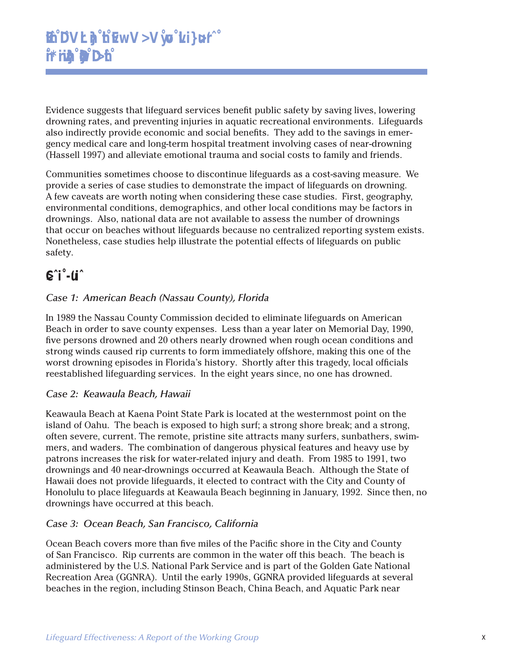Evidence suggests that lifeguard services benefit public safety by saving lives, lowering drowning rates, and preventing injuries in aquatic recreational environments. Lifeguards also indirectly provide economic and social benefits. They add to the savings in emergency medical care and long-term hospital treatment involving cases of near-drowning (Hassell 1997) and alleviate emotional trauma and social costs to family and friends.

Communities sometimes choose to discontinue lifeguards as a cost-saving measure. We provide a series of case studies to demonstrate the impact of lifeguards on drowning. A few caveats are worth noting when considering these case studies. First, geography, environmental conditions, demographics, and other local conditions may be factors in drownings. Also, national data are not available to assess the number of drownings that occur on beaches without lifeguards because no centralized reporting system exists. Nonetheless, case studies help illustrate the potential effects of lifeguards on public safety.

## **Case Sudies**

#### *Case 1: American Beach (Nassau County), Florida*

In 1989 the Nassau County Commission decided to eliminate lifeguards on American Beach in order to save county expenses. Less than a year later on Memorial Day, 1990, five persons drowned and 20 others nearly drowned when rough ocean conditions and strong winds caused rip currents to form immediately offshore, making this one of the worst drowning episodes in Florida's history. Shortly after this tragedy, local officials reestablished lifeguarding services. In the eight years since, no one has drowned.

#### *Case 2: Keawaula Beach, Hawaii*

Keawaula Beach at Kaena Point State Park is located at the westernmost point on the island of Oahu. The beach is exposed to high surf; a strong shore break; and a strong, often severe, current. The remote, pristine site attracts many surfers, sunbathers, swimmers, and waders. The combination of dangerous physical features and heavy use by patrons increases the risk for water-related injury and death. From 1985 to 1991, two drownings and 40 near-drownings occurred at Keawaula Beach. Although the State of Hawaii does not provide lifeguards, it elected to contract with the City and County of Honolulu to place lifeguards at Keawaula Beach beginning in January, 1992. Since then, no drownings have occurred at this beach.

#### *Case 3: Ocean Beach, San Francisco, California*

*Recreation Area (GGNRA).* Until the early 1990s, GGNRA provided lifeguards at several beaches in the region, including Stinson Beach, China Beach, and Aquatic Park near<br>beaches in the region, including Stinson Beach, Chin Ocean Beach covers more than five miles of the Pacific shore in the City and County of San Francisco. Rip currents are common in the water off this beach. The beach is administered by the U.S. National Park Service and is part of the Golden Gate National Recreation Area (GGNRA). Until the early 1990s, GGNRA provided lifeguards at several beaches in the region, including Stinson Beach, China Beach, and Aquatic Park near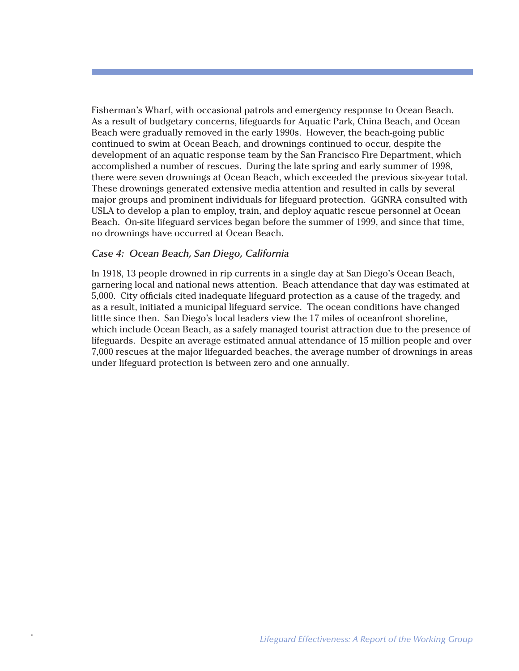Fisherman's Wharf, with occasional patrols and emergency response to Ocean Beach. As a result of budgetary concerns, lifeguards for Aquatic Park, China Beach, and Ocean Beach were gradually removed in the early 1990s. However, the beach-going public continued to swim at Ocean Beach, and drownings continued to occur, despite the development of an aquatic response team by the San Francisco Fire Department, which accomplished a number of rescues. During the late spring and early summer of 1998, there were seven drownings at Ocean Beach, which exceeded the previous six-year total. These drownings generated extensive media attention and resulted in calls by several major groups and prominent individuals for lifeguard protection. GGNRA consulted with USLA to develop a plan to employ, train, and deploy aquatic rescue personnel at Ocean Beach. On-site lifeguard services began before the summer of 1999, and since that time, no drownings have occurred at Ocean Beach.

#### *Case 4: Ocean Beach, San Diego, California*

In 1918, 13 people drowned in rip currents in a single day at San Diego's Ocean Beach, garnering local and national news attention. Beach attendance that day was estimated at 5,000. City officials cited inadequate lifeguard protection as a cause of the tragedy, and as a result, initiated a municipal lifeguard service. The ocean conditions have changed little since then. San Diego's local leaders view the 17 miles of oceanfront shoreline, which include Ocean Beach, as a safely managed tourist attraction due to the presence of lifeguards. Despite an average estimated annual attendance of 15 million people and over 7,000 rescues at the major lifeguarded beaches, the average number of drownings in areas under lifeguard protection is between zero and one annually.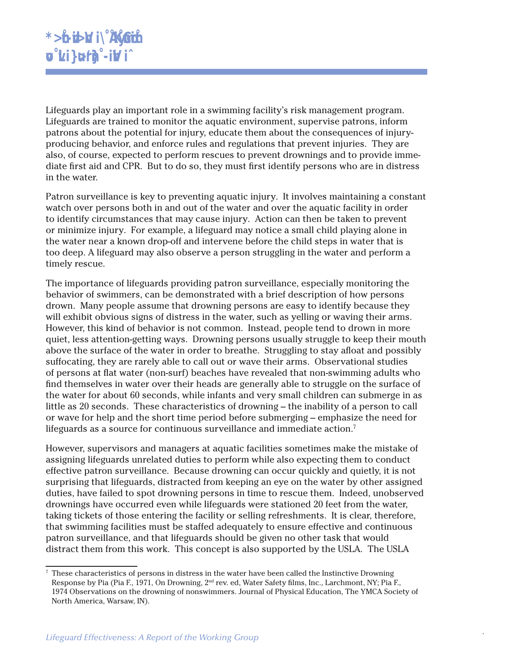Lifeguards play an important role in a swimming facility's risk management program. Lifeguards are trained to monitor the aquatic environment, supervise patrons, inform patrons about the potential for injury, educate them about the consequences of injuryproducing behavior, and enforce rules and regulations that prevent injuries. They are also, of course, expected to perform rescues to prevent drownings and to provide immediate first aid and CPR. But to do so, they must first identify persons who are in distress in the water.

Patron surveillance is key to preventing aquatic injury. It involves maintaining a constant watch over persons both in and out of the water and over the aquatic facility in order to identify circumstances that may cause injury. Action can then be taken to prevent or minimize injury. For example, a lifeguard may notice a small child playing alone in the water near a known drop-off and intervene before the child steps in water that is too deep. A lifeguard may also observe a person struggling in the water and perform a timely rescue.

The importance of lifeguards providing patron surveillance, especially monitoring the behavior of swimmers, can be demonstrated with a brief description of how persons drown. Many people assume that drowning persons are easy to identify because they will exhibit obvious signs of distress in the water, such as yelling or waving their arms. However, this kind of behavior is not common. Instead, people tend to drown in more quiet, less attention-getting ways. Drowning persons usually struggle to keep their mouth above the surface of the water in order to breathe. Struggling to stay afloat and possibly suffocating, they are rarely able to call out or wave their arms. Observational studies of persons at flat water (non-surf) beaches have revealed that non-swimming adults who find themselves in water over their heads are generally able to struggle on the surface of the water for about 60 seconds, while infants and very small children can submerge in as little as 20 seconds. These characteristics of drowning – the inability of a person to call or wave for help and the short time period before submerging – emphasize the need for lifeguards as a source for continuous surveillance and immediate action.<sup>7</sup>

However, supervisors and managers at aquatic facilities sometimes make the mistake of assigning lifeguards unrelated duties to perform while also expecting them to conduct effective patron surveillance. Because drowning can occur quickly and quietly, it is not surprising that lifeguards, distracted from keeping an eye on the water by other assigned duties, have failed to spot drowning persons in time to rescue them. Indeed, unobserved drownings have occurred even while lifeguards were stationed 20 feet from the water, taking tickets of those entering the facility or selling refreshments. It is clear, therefore, that swimming facilities must be staffed adequately to ensure effective and continuous patron surveillance, and that lifeguards should be given no other task that would distract them from this work. This concept is also supported by the USLA. The USLA

Response by Pia (Pia F., 1971, On Drowning, 2<sup>nd</sup> rev. ed, Water Safety films, Inc., Larchmont, NY; Pia F., 1974 Observations on the drowning of nonswimmers. Journal of Physical Education, The YMCA Society of North America <sup>7</sup> These characteristics of persons in distress in the water have been called the Instinctive Drowning Response by Pia (Pia F., 1971, On Drowning, 2<sup>nd</sup> rev. ed, Water Safety films, Inc., Larchmont, NY; Pia F., 1974 Observations on the drowning of nonswimmers. Journal of Physical Education, The YMCA Society of North America, Warsaw, IN).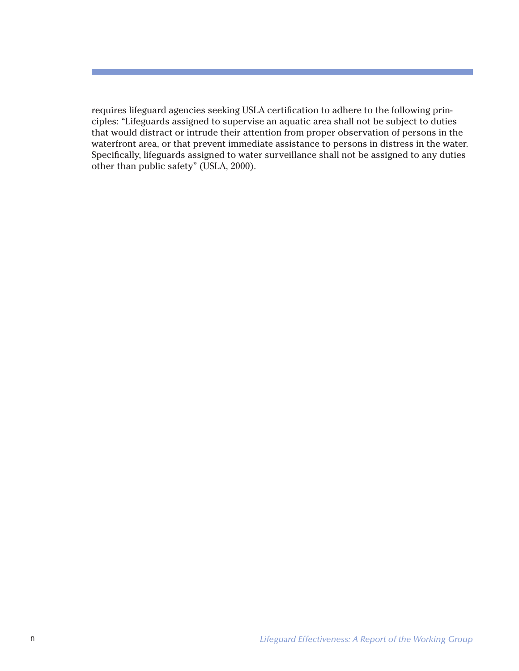requires lifeguard agencies seeking USLA certification to adhere to the following principles: "Lifeguards assigned to supervise an aquatic area shall not be subject to duties that would distract or intrude their attention from proper observation of persons in the waterfront area, or that prevent immediate assistance to persons in distress in the water. Specifically, lifeguards assigned to water surveillance shall not be assigned to any duties other than public safety" (USLA, 2000).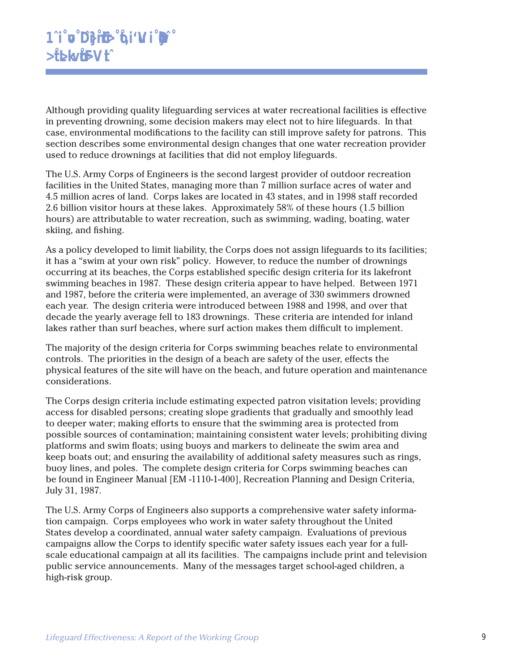Although providing quality lifeguarding services at water recreational facilities is effective in preventing drowning, some decision makers may elect not to hire lifeguards. In that case, environmental modifications to the facility can still improve safety for patrons. This section describes some environmental design changes that one water recreation provider used to reduce drownings at facilities that did not employ lifeguards.

The U.S. Army Corps of Engineers is the second largest provider of outdoor recreation facilities in the United States, managing more than 7 million surface acres of water and 4.5 million acres of land. Corps lakes are located in 43 states, and in 1998 staff recorded 2.6 billion visitor hours at these lakes. Approximately 58% of these hours (1.5 billion hours) are attributable to water recreation, such as swimming, wading, boating, water skiing, and fishing.

As a policy developed to limit liability, the Corps does not assign lifeguards to its facilities; it has a "swim at your own risk" policy. However, to reduce the number of drownings occurring at its beaches, the Corps established specific design criteria for its lakefront swimming beaches in 1987. These design criteria appear to have helped. Between 1971 and 1987, before the criteria were implemented, an average of 330 swimmers drowned each year. The design criteria were introduced between 1988 and 1998, and over that decade the yearly average fell to 183 drownings. These criteria are intended for inland lakes rather than surf beaches, where surf action makes them difficult to implement.

The majority of the design criteria for Corps swimming beaches relate to environmental controls. The priorities in the design of a beach are safety of the user, effects the physical features of the site will have on the beach, and future operation and maintenance considerations.

The Corps design criteria include estimating expected patron visitation levels; providing access for disabled persons; creating slope gradients that gradually and smoothly lead to deeper water; making efforts to ensure that the swimming area is protected from possible sources of contamination; maintaining consistent water levels; prohibiting diving platforms and swim floats; using buoys and markers to delineate the swim area and keep boats out; and ensuring the availability of additional safety measures such as rings, buoy lines, and poles. The complete design criteria for Corps swimming beaches can be found in Engineer Manual [EM -1110-1-400], Recreation Planning and Design Criteria, July 31, 1987.

*Lifeguard Effectiveness: A Report of the Working Group* <sup>9</sup> The U.S. Army Corps of Engineers also supports a comprehensive water safety information campaign. Corps employees who work in water safety throughout the United States develop a coordinated, annual water safety campaign. Evaluations of previous campaigns allow the Corps to identify specific water safety issues each year for a fullscale educational campaign at all its facilities. The campaigns include print and television public service announcements. Many of the messages target school-aged children, a high-risk group.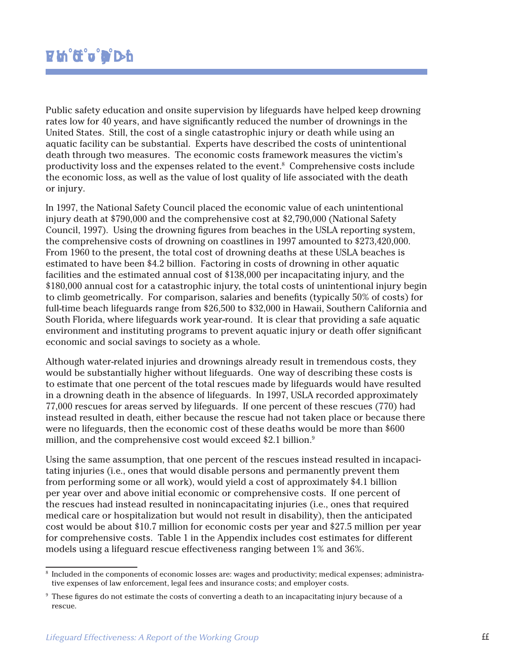Public safety education and onsite supervision by lifeguards have helped keep drowning rates low for 40 years, and have significantly reduced the number of drownings in the United States. Still, the cost of a single catastrophic injury or death while using an aquatic facility can be substantial. Experts have described the costs of unintentional death through two measures. The economic costs framework measures the victim's productivity loss and the expenses related to the event.<sup>8</sup> Comprehensive costs include the economic loss, as well as the value of lost quality of life associated with the death or injury.

In 1997, the National Safety Council placed the economic value of each unintentional injury death at \$790,000 and the comprehensive cost at \$2,790,000 (National Safety Council, 1997). Using the drowning figures from beaches in the USLA reporting system, the comprehensive costs of drowning on coastlines in 1997 amounted to \$273,420,000. From 1960 to the present, the total cost of drowning deaths at these USLA beaches is estimated to have been \$4.2 billion. Factoring in costs of drowning in other aquatic facilities and the estimated annual cost of \$138,000 per incapacitating injury, and the \$180,000 annual cost for a catastrophic injury, the total costs of unintentional injury begin to climb geometrically. For comparison, salaries and benefits (typically 50% of costs) for full-time beach lifeguards range from \$26,500 to \$32,000 in Hawaii, Southern California and South Florida, where lifeguards work year-round. It is clear that providing a safe aquatic environment and instituting programs to prevent aquatic injury or death offer significant economic and social savings to society as a whole.

Although water-related injuries and drownings already result in tremendous costs, they would be substantially higher without lifeguards. One way of describing these costs is to estimate that one percent of the total rescues made by lifeguards would have resulted in a drowning death in the absence of lifeguards. In 1997, USLA recorded approximately 77,000 rescues for areas served by lifeguards. If one percent of these rescues (770) had instead resulted in death, either because the rescue had not taken place or because there were no lifeguards, then the economic cost of these deaths would be more than \$600 million, and the comprehensive cost would exceed \$2.1 billion.9

Using the same assumption, that one percent of the rescues instead resulted in incapacitating injuries (i.e., ones that would disable persons and permanently prevent them from performing some or all work), would yield a cost of approximately \$4.1 billion per year over and above initial economic or comprehensive costs. If one percent of the rescues had instead resulted in nonincapacitating injuries (i.e., ones that required medical care or hospitalization but would not result in disability), then the anticipated cost would be about \$10.7 million for economic costs per year and \$27.5 million per year for comprehensive costs. Table 1 in the Appendix includes cost estimates for different models using a lifeguard rescue effectiveness ranging between 1% and 36%.

<sup>8</sup> Included in the components of economic losses are: wages and productivity; medical expenses; administrative expenses of law enforcement, legal fees and insurance costs; and employer costs.

*Lifeguard Effectiveness: A Report of the Working Group* 11  $^9$  These figures do not estimate the costs of converting a death to an incapacitating injury because of a rescue.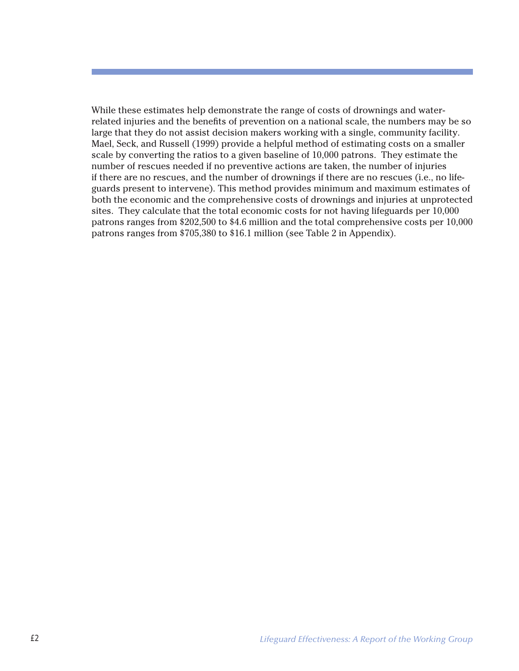While these estimates help demonstrate the range of costs of drownings and waterrelated injuries and the benefits of prevention on a national scale, the numbers may be so large that they do not assist decision makers working with a single, community facility. Mael, Seck, and Russell (1999) provide a helpful method of estimating costs on a smaller scale by converting the ratios to a given baseline of 10,000 patrons. They estimate the number of rescues needed if no preventive actions are taken, the number of injuries if there are no rescues, and the number of drownings if there are no rescues (i.e., no lifeguards present to intervene). This method provides minimum and maximum estimates of both the economic and the comprehensive costs of drownings and injuries at unprotected sites. They calculate that the total economic costs for not having lifeguards per 10,000 patrons ranges from \$202,500 to \$4.6 million and the total comprehensive costs per 10,000 patrons ranges from \$705,380 to \$16.1 million (see Table 2 in Appendix).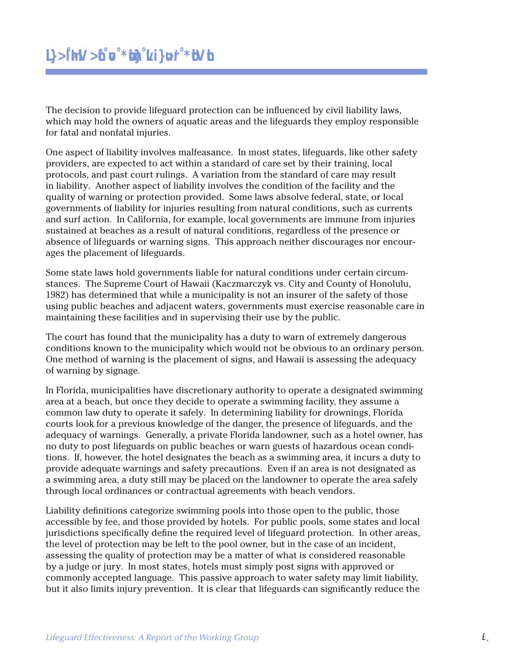The decision to provide lifeguard protection can be influenced by civil liability laws, which may hold the owners of aquatic areas and the lifeguards they employ responsible for fatal and nonfatal injuries.

One aspect of liability involves malfeasance. In most states, lifeguards, like other safety providers, are expected to act within a standard of care set by their training, local protocols, and past court rulings. A variation from the standard of care may result in liability. Another aspect of liability involves the condition of the facility and the quality of warning or protection provided. Some laws absolve federal, state, or local governments of liability for injuries resulting from natural conditions, such as currents and surf action. In California, for example, local governments are immune from injuries sustained at beaches as a result of natural conditions, regardless of the presence or absence of lifeguards or warning signs. This approach neither discourages nor encourages the placement of lifeguards.

Some state laws hold governments liable for natural conditions under certain circumstances. The Supreme Court of Hawaii (Kaczmarczyk vs. City and County of Honolulu, 1982) has determined that while a municipality is not an insurer of the safety of those using public beaches and adjacent waters, governments must exercise reasonable care in maintaining these facilities and in supervising their use by the public.

The court has found that the municipality has a duty to warn of extremely dangerous conditions known to the municipality which would not be obvious to an ordinary person. One method of warning is the placement of signs, and Hawaii is assessing the adequacy of warning by signage.

In Florida, municipalities have discretionary authority to operate a designated swimming area at a beach, but once they decide to operate a swimming facility, they assume a common law duty to operate it safely. In determining liability for drownings, Florida courts look for a previous knowledge of the danger, the presence of lifeguards, and the adequacy of warnings. Generally, a private Florida landowner, such as a hotel owner, has no duty to post lifeguards on public beaches or warn guests of hazardous ocean conditions. If, however, the hotel designates the beach as a swimming area, it incurs a duty to provide adequate warnings and safety precautions. Even if an area is not designated as a swimming area, a duty still may be placed on the landowner to operate the area safely through local ordinances or contractual agreements with beach vendors.

*Commonly accepted language.* This passive approach to water sarety may limit hability,<br>but it also limits injury prevention. It is clear that lifeguards can significantly reduce the<br>Lifeguard Effectiveness: A Report of th Liability definitions categorize swimming pools into those open to the public, those accessible by fee, and those provided by hotels. For public pools, some states and local jurisdictions specifically define the required level of lifeguard protection. In other areas, the level of protection may be left to the pool owner, but in the case of an incident, assessing the quality of protection may be a matter of what is considered reasonable by a judge or jury. In most states, hotels must simply post signs with approved or commonly accepted language. This passive approach to water safety may limit liability, but it also limits injury prevention. It is clear that lifeguards can significantly reduce the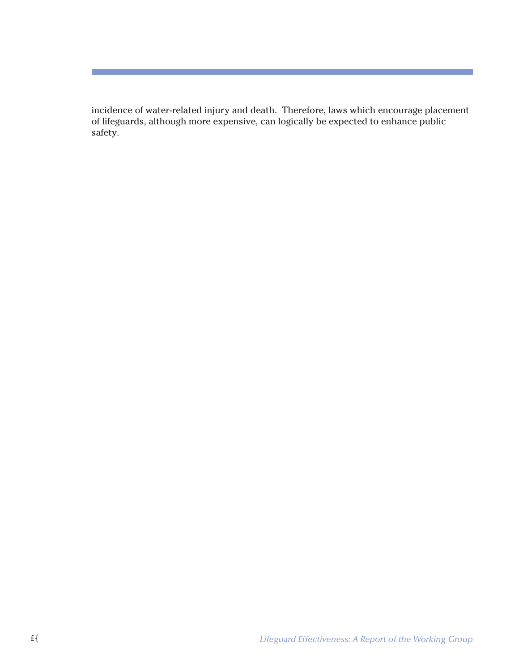incidence of water-related injury and death. Therefore, laws which encourage placement of lifeguards, although more expensive, can logically be expected to enhance public safety.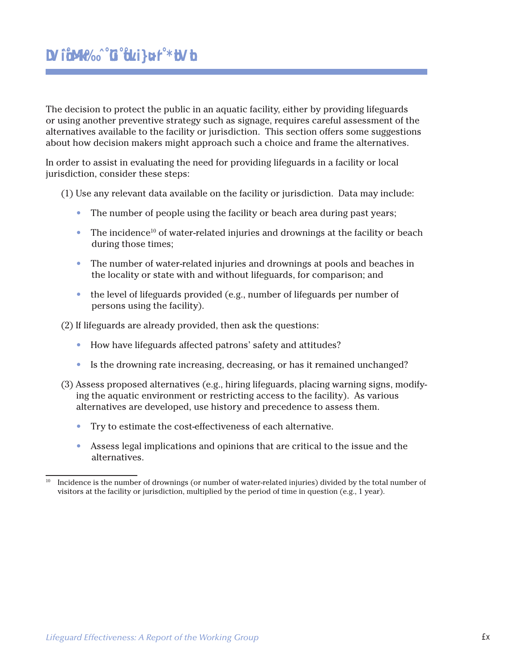The decision to protect the public in an aquatic facility, either by providing lifeguards or using another preventive strategy such as signage, requires careful assessment of the alternatives available to the facility or jurisdiction. This section offers some suggestions about how decision makers might approach such a choice and frame the alternatives.

In order to assist in evaluating the need for providing lifeguards in a facility or local jurisdiction, consider these steps:

(1) Use any relevant data available on the facility or jurisdiction. Data may include:

- The number of people using the facility or beach area during past years;
- The incidence<sup>10</sup> of water-related injuries and drownings at the facility or beach during those times;
- The number of water-related injuries and drownings at pools and beaches in the locality or state with and without lifeguards, for comparison; and
- the level of lifeguards provided (e.g., number of lifeguards per number of persons using the facility).

(2) If lifeguards are already provided, then ask the questions:

- How have lifeguards affected patrons' safety and attitudes?
- Is the drowning rate increasing, decreasing, or has it remained unchanged?
- (3) Assess proposed alternatives (e.g., hiring lifeguards, placing warning signs, modifying the aquatic environment or restricting access to the facility). As various alternatives are developed, use history and precedence to assess them.
	- Try to estimate the cost-effectiveness of each alternative.
	- Assess legal implications and opinions that are critical to the issue and the alternatives.

<sup>10</sup> Incidence is the number of drownings (or number of water-related injuries) divided by the total number of visitors at the facility or jurisdiction, multiplied by the period of time in question (e.g., 1 year).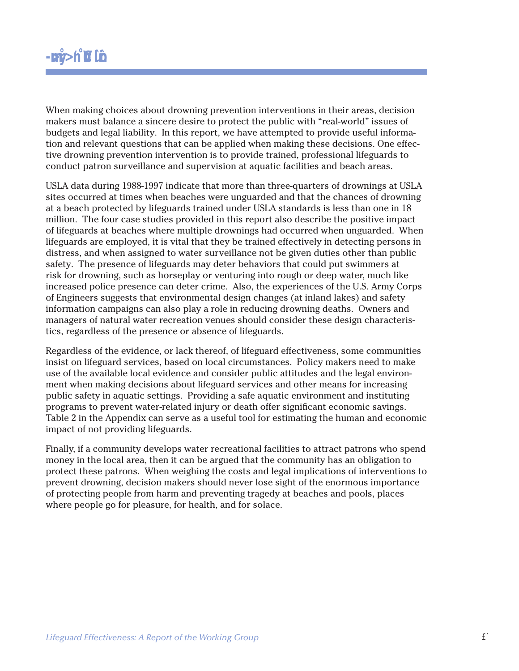When making choices about drowning prevention interventions in their areas, decision makers must balance a sincere desire to protect the public with "real-world" issues of budgets and legal liability. In this report, we have attempted to provide useful information and relevant questions that can be applied when making these decisions. One effective drowning prevention intervention is to provide trained, professional lifeguards to conduct patron surveillance and supervision at aquatic facilities and beach areas.

USLA data during 1988-1997 indicate that more than three-quarters of drownings at USLA sites occurred at times when beaches were unguarded and that the chances of drowning at a beach protected by lifeguards trained under USLA standards is less than one in 18 million. The four case studies provided in this report also describe the positive impact of lifeguards at beaches where multiple drownings had occurred when unguarded. When lifeguards are employed, it is vital that they be trained effectively in detecting persons in distress, and when assigned to water surveillance not be given duties other than public safety. The presence of lifeguards may deter behaviors that could put swimmers at risk for drowning, such as horseplay or venturing into rough or deep water, much like increased police presence can deter crime. Also, the experiences of the U.S. Army Corps of Engineers suggests that environmental design changes (at inland lakes) and safety information campaigns can also play a role in reducing drowning deaths. Owners and managers of natural water recreation venues should consider these design characteristics, regardless of the presence or absence of lifeguards.

Regardless of the evidence, or lack thereof, of lifeguard effectiveness, some communities insist on lifeguard services, based on local circumstances. Policy makers need to make use of the available local evidence and consider public attitudes and the legal environment when making decisions about lifeguard services and other means for increasing public safety in aquatic settings. Providing a safe aquatic environment and instituting programs to prevent water-related injury or death offer significant economic savings. Table 2 in the Appendix can serve as a useful tool for estimating the human and economic impact of not providing lifeguards.

Finally, if a community develops water recreational facilities to attract patrons who spend money in the local area, then it can be argued that the community has an obligation to protect these patrons. When weighing the costs and legal implications of interventions to prevent drowning, decision makers should never lose sight of the enormous importance of protecting people from harm and preventing tragedy at beaches and pools, places where people go for pleasure, for health, and for solace.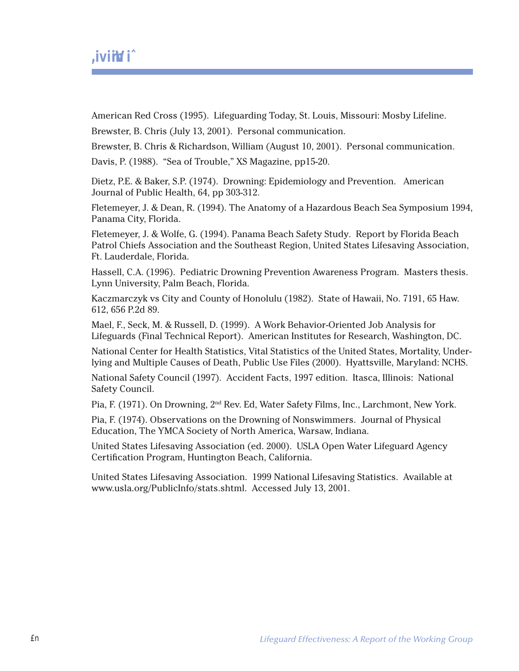American Red Cross (1995). Lifeguarding Today, St. Louis, Missouri: Mosby Lifeline.

Brewster, B. Chris (July 13, 2001). Personal communication.

Brewster, B. Chris & Richardson, William (August 10, 2001). Personal communication.

Davis, P. (1988). "Sea of Trouble," XS Magazine, pp15-20.

Dietz, P.E. & Baker, S.P. (1974). Drowning: Epidemiology and Prevention. American Journal of Public Health, 64, pp 303-312.

Fletemeyer, J. & Dean, R. (1994). The Anatomy of a Hazardous Beach Sea Symposium 1994, Panama City, Florida.

Fletemeyer, J. & Wolfe, G. (1994). Panama Beach Safety Study. Report by Florida Beach Patrol Chiefs Association and the Southeast Region, United States Lifesaving Association, Ft. Lauderdale, Florida.

Hassell, C.A. (1996). Pediatric Drowning Prevention Awareness Program. Masters thesis. Lynn University, Palm Beach, Florida.

Kaczmarczyk vs City and County of Honolulu (1982). State of Hawaii, No. 7191, 65 Haw. 612, 656 P.2d 89.

Mael, F., Seck, M. & Russell, D. (1999). A Work Behavior-Oriented Job Analysis for Lifeguards (Final Technical Report). American Institutes for Research, Washington, DC.

National Center for Health Statistics, Vital Statistics of the United States, Mortality, Underlying and Multiple Causes of Death, Public Use Files (2000). Hyattsville, Maryland: NCHS.

National Safety Council (1997). Accident Facts, 1997 edition. Itasca, Illinois: National Safety Council.

Pia, F. (1971). On Drowning, 2nd Rev. Ed, Water Safety Films, Inc., Larchmont, New York.

Pia, F. (1974). Observations on the Drowning of Nonswimmers. Journal of Physical Education, The YMCA Society of North America, Warsaw, Indiana.

United States Lifesaving Association (ed. 2000). USLA Open Water Lifeguard Agency Certification Program, Huntington Beach, California.

United States Lifesaving Association. 1999 National Lifesaving Statistics. Available at www.usla.org/PublicInfo/stats.shtml. Accessed July 13, 2001.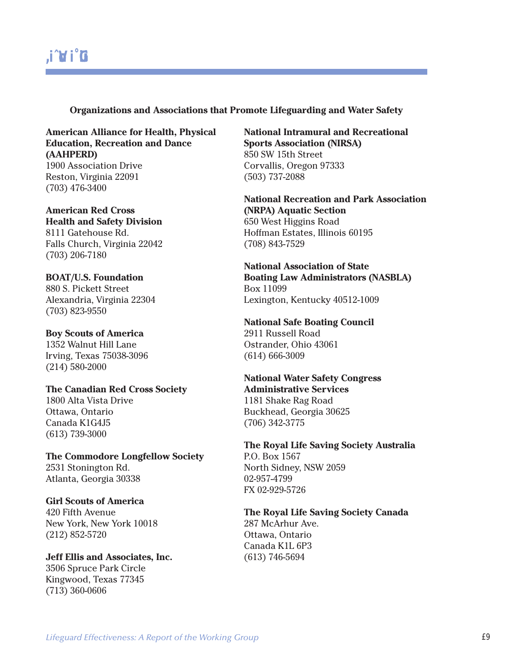## Resource Guide

#### **Organizations and Associations that Promote Lifeguarding and Water Safety**

**American Alliance for Health, Physical Education, Recreation and Dance (AAHPERD)** 1900 Association Drive Reston, Virginia 22091 (703) 476-3400

**American Red Cross Health and Safety Division** 8111 Gatehouse Rd. Falls Church, Virginia 22042 (703) 206-7180

**BOAT/U.S. Foundation** 880 S. Pickett Street Alexandria, Virginia 22304 (703) 823-9550

**Boy Scouts of America** 1352 Walnut Hill Lane Irving, Texas 75038-3096 (214) 580-2000

**The Canadian Red Cross Society** 1800 Alta Vista Drive Ottawa, Ontario Canada K1G4J5 (613) 739-3000

**The Commodore Longfellow Society** 2531 Stonington Rd. Atlanta, Georgia 30338

**Girl Scouts of America** 420 Fifth Avenue New York, New York 10018 (212) 852-5720

**Jeff Ellis and Associates, Inc.** 3506 Spruce Park Circle Kingwood, Texas 77345 (713) 360-0606

**National Intramural and Recreational Sports Association (NIRSA)** 850 SW 15th Street Corvallis, Oregon 97333 (503) 737-2088

**National Recreation and Park Association (NRPA) Aquatic Section** 650 West Higgins Road Hoffman Estates, Illinois 60195 (708) 843-7529

**National Association of State Boating Law Administrators (NASBLA)** Box 11099 Lexington, Kentucky 40512-1009

**National Safe Boating Council** 2911 Russell Road Ostrander, Ohio 43061 (614) 666-3009

**National Water Safety Congress Administrative Services** 1181 Shake Rag Road Buckhead, Georgia 30625 (706) 342-3775

**The Royal Life Saving Society Australia** P.O. Box 1567 North Sidney, NSW 2059 02-957-4799 FX 02-929-5726

**The Royal Life Saving Society Canada** 287 McArhur Ave. Ottawa, Ontario Canada K1L 6P3 (613) 746-5694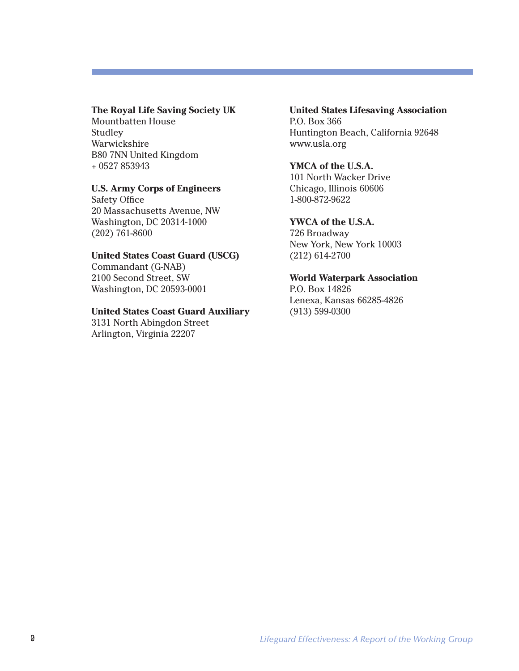#### **The Royal Life Saving Society UK**

Mountbatten House Studley Warwickshire B80 7NN United Kingdom + 0527 853943

#### **U.S. Army Corps of Engineers**

Safety Office 20 Massachusetts Avenue, NW Washington, DC 20314-1000 (202) 761-8600

#### **United States Coast Guard (USCG)**

Commandant (G-NAB) 2100 Second Street, SW Washington, DC 20593-0001

#### **United States Coast Guard Auxiliary**

3131 North Abingdon Street Arlington, Virginia 22207

### **United States Lifesaving Association**

P.O. Box 366 Huntington Beach, California 92648 www.usla.org

#### **YMCA of the U.S.A.**

101 North Wacker Drive Chicago, Illinois 60606 1-800-872-9622

#### **YWCA of the U.S.A.**

726 Broadway New York, New York 10003 (212) 614-2700

#### **World Waterpark Association**

P.O. Box 14826 Lenexa, Kansas 66285-4826 (913) 599-0300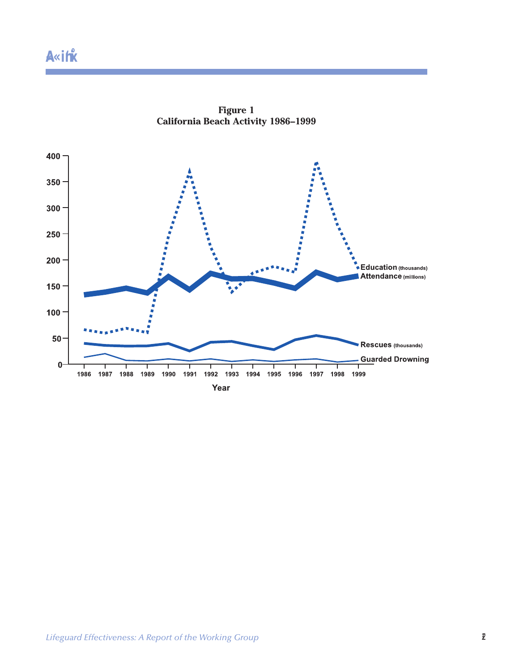

**Figure 1 California Beach Activity 1986–1999**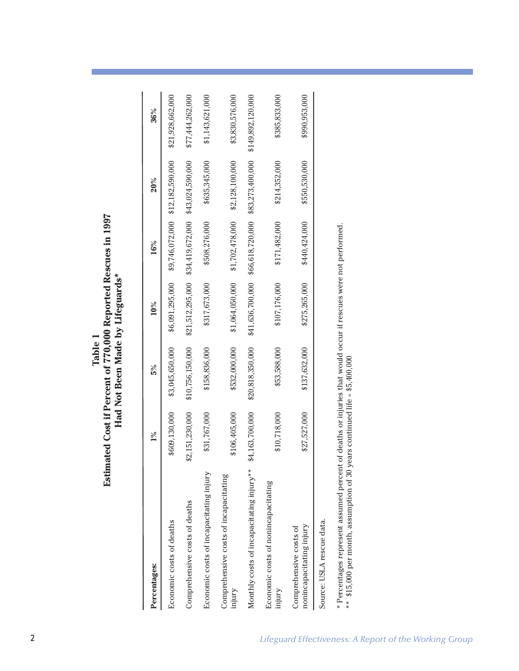| Percentages:                                       | $1\%$           | 5%               | 10%              | 16%              | 20%              | 36%               |
|----------------------------------------------------|-----------------|------------------|------------------|------------------|------------------|-------------------|
| Economic costs of deaths                           | \$609,130,000   | \$3,045,650,000  | \$6,091,295,000  | \$9,746,072,000  | \$12,182,590,000 | \$21,928,662,000  |
| Comprehensive costs of deaths                      | \$2,151,230,000 | \$10,756,150,000 | \$21,512,295,000 | \$34,419,672,000 | \$43,024,590,000 | \$77,444,262,000  |
| Economic costs of incapacitating injury            | \$31,767,000    | \$158,836,000    | \$317,673,000    | \$508,276,000    | \$635,345,000    | \$1,143,621,000   |
| Comprehensive costs of incapacitating<br>injury    | \$106,405,000   | \$532,000,000    | \$1,064,050,000  | \$1,702,478,000  | \$2,128,100,000  | \$3,830,576,000   |
| Monthly costs of incapacitating injury**           | \$4,163,700,000 | \$20,818,350,000 | \$41,636,700,000 | \$66,618,720,000 | \$83,273,400,000 | \$149,892,120,000 |
| Economic costs of nonincapacitating<br>injury      | \$10,718,000    | \$53,588,000     | \$107,176,000    | \$171,482,000    | \$214,352,000    | \$385,833,000     |
| nonincapacitating injury<br>Comprehensive costs of | \$27,527,000    | \$137,632,000    | \$275,265,000    | \$440,424,000    | \$550,530,000    | \$990,953,000     |
| Source: USLA rescue data.                          |                 |                  |                  |                  |                  |                   |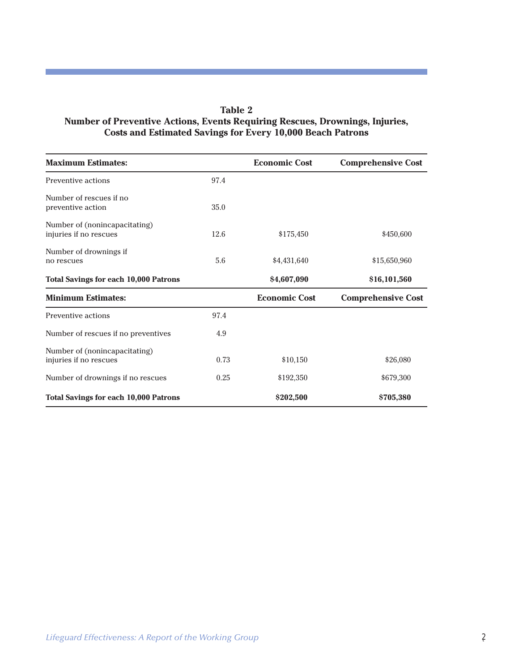#### **Table 2 Number of Preventive Actions, Events Requiring Rescues, Drownings, Injuries, Costs and Estimated Savings for Every 10,000 Beach Patrons**

| <b>Maximum Estimates:</b>                               |      | <b>Economic Cost</b> | <b>Comprehensive Cost</b> |
|---------------------------------------------------------|------|----------------------|---------------------------|
| Preventive actions                                      | 97.4 |                      |                           |
| Number of rescues if no<br>preventive action            | 35.0 |                      |                           |
| Number of (nonincapacitating)<br>injuries if no rescues | 12.6 | \$175,450            | \$450,600                 |
| Number of drownings if<br>no rescues                    | 5.6  | \$4,431,640          | \$15,650,960              |
| <b>Total Savings for each 10,000 Patrons</b>            |      | \$4,607,090          | \$16,101,560              |
| <b>Minimum Estimates:</b>                               |      | <b>Economic Cost</b> | <b>Comprehensive Cost</b> |
| Preventive actions                                      | 97.4 |                      |                           |
| Number of rescues if no preventives                     | 4.9  |                      |                           |
| Number of (nonincapacitating)<br>injuries if no rescues | 0.73 | \$10,150             | \$26,080                  |
| Number of drownings if no rescues                       | 0.25 | \$192,350            | \$679,300                 |
| <b>Total Savings for each 10,000 Patrons</b>            |      | \$202,500            | \$705,380                 |